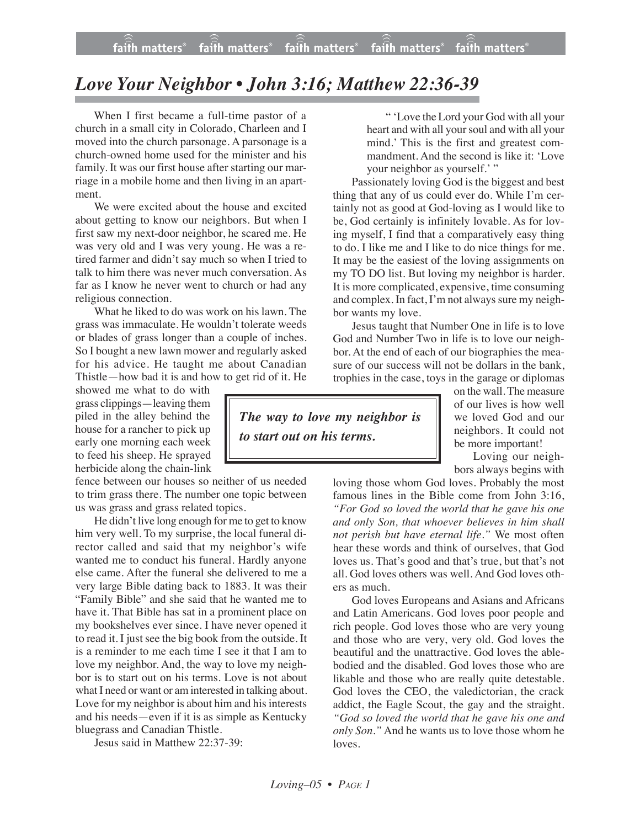## *Love Your Neighbor • John 3:16; Matthew 22:36-39*

When I first became a full-time pastor of a church in a small city in Colorado, Charleen and I moved into the church parsonage. A parsonage is a church-owned home used for the minister and his family. It was our first house after starting our marriage in a mobile home and then living in an apartment.

We were excited about the house and excited about getting to know our neighbors. But when I first saw my next-door neighbor, he scared me. He was very old and I was very young. He was a retired farmer and didn't say much so when I tried to talk to him there was never much conversation. As far as I know he never went to church or had any religious connection.

What he liked to do was work on his lawn. The grass was immaculate. He wouldn't tolerate weeds or blades of grass longer than a couple of inches. So I bought a new lawn mower and regularly asked for his advice. He taught me about Canadian Thistle—how bad it is and how to get rid of it. He

showed me what to do with grass clippings—leaving them piled in the alley behind the house for a rancher to pick up early one morning each week to feed his sheep. He sprayed herbicide along the chain-link

fence between our houses so neither of us needed to trim grass there. The number one topic between us was grass and grass related topics.

He didn't live long enough for me to get to know him very well. To my surprise, the local funeral director called and said that my neighbor's wife wanted me to conduct his funeral. Hardly anyone else came. After the funeral she delivered to me a very large Bible dating back to 1883. It was their "Family Bible" and she said that he wanted me to have it. That Bible has sat in a prominent place on my bookshelves ever since. I have never opened it to read it. I just see the big book from the outside. It is a reminder to me each time I see it that I am to love my neighbor. And, the way to love my neighbor is to start out on his terms. Love is not about what I need or want or am interested in talking about. Love for my neighbor is about him and his interests and his needs—even if it is as simple as Kentucky bluegrass and Canadian Thistle.

Jesus said in Matthew 22:37-39:

" 'Love the Lord your God with all your heart and with all your soul and with all your mind.' This is the first and greatest commandment. And the second is like it: 'Love your neighbor as yourself.'"

Passionately loving God is the biggest and best thing that any of us could ever do. While I'm certainly not as good at God-loving as I would like to be, God certainly is infinitely lovable. As for loving myself, I find that a comparatively easy thing to do. I like me and I like to do nice things for me. It may be the easiest of the loving assignments on my TO DO list. But loving my neighbor is harder. It is more complicated, expensive, time consuming and complex. In fact, I'm not always sure my neighbor wants my love.

Jesus taught that Number One in life is to love God and Number Two in life is to love our neighbor. At the end of each of our biographies the measure of our success will not be dollars in the bank, trophies in the case, toys in the garage or diplomas

*The way to love my neighbor is to start out on his terms.*

on the wall. The measure of our lives is how well we loved God and our neighbors. It could not be more important!

Loving our neighbors always begins with

loving those whom God loves. Probably the most famous lines in the Bible come from John 3:16, *"For God so loved the world that he gave his one and only Son, that whoever believes in him shall not perish but have eternal life."* We most often hear these words and think of ourselves, that God loves us. That's good and that's true, but that's not all. God loves others was well. And God loves others as much.

God loves Europeans and Asians and Africans and Latin Americans. God loves poor people and rich people. God loves those who are very young and those who are very, very old. God loves the beautiful and the unattractive. God loves the ablebodied and the disabled. God loves those who are likable and those who are really quite detestable. God loves the CEO, the valedictorian, the crack addict, the Eagle Scout, the gay and the straight. *"God so loved the world that he gave his one and only Son."* And he wants us to love those whom he loves.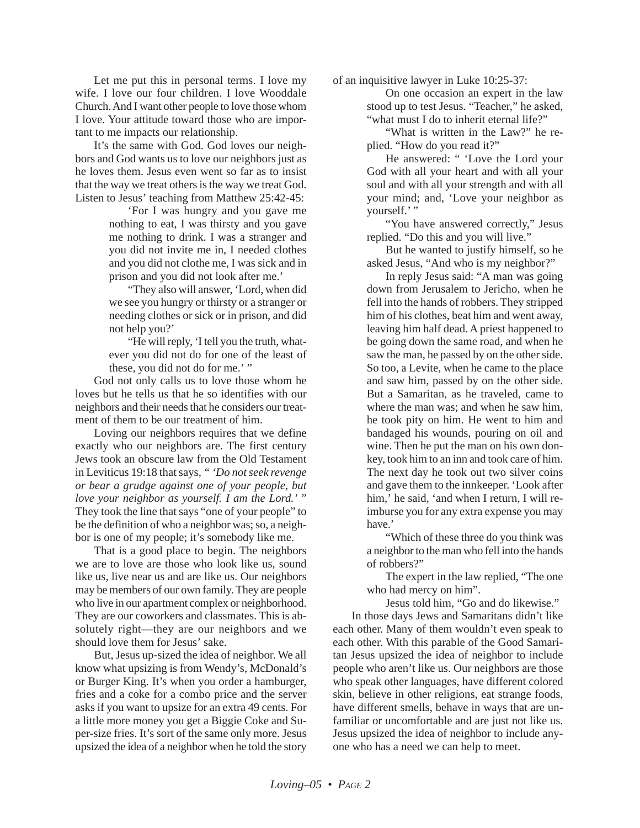Let me put this in personal terms. I love my wife. I love our four children. I love Wooddale Church. And I want other people to love those whom I love. Your attitude toward those who are important to me impacts our relationship.

It's the same with God. God loves our neighbors and God wants us to love our neighbors just as he loves them. Jesus even went so far as to insist that the way we treat others is the way we treat God. Listen to Jesus' teaching from Matthew 25:42-45:

> 'For I was hungry and you gave me nothing to eat, I was thirsty and you gave me nothing to drink. I was a stranger and you did not invite me in, I needed clothes and you did not clothe me, I was sick and in prison and you did not look after me.'

> "They also will answer, 'Lord, when did we see you hungry or thirsty or a stranger or needing clothes or sick or in prison, and did not help you?'

> "He will reply, 'I tell you the truth, whatever you did not do for one of the least of these, you did not do for me.' "

God not only calls us to love those whom he loves but he tells us that he so identifies with our neighbors and their needs that he considers our treatment of them to be our treatment of him.

Loving our neighbors requires that we define exactly who our neighbors are. The first century Jews took an obscure law from the Old Testament in Leviticus 19:18 that says, *" 'Do not seek revenge or bear a grudge against one of your people, but love your neighbor as yourself. I am the Lord.' "* They took the line that says "one of your people" to be the definition of who a neighbor was; so, a neighbor is one of my people; it's somebody like me.

That is a good place to begin. The neighbors we are to love are those who look like us, sound like us, live near us and are like us. Our neighbors may be members of our own family. They are people who live in our apartment complex or neighborhood. They are our coworkers and classmates. This is absolutely right—they are our neighbors and we should love them for Jesus' sake.

But, Jesus up-sized the idea of neighbor. We all know what upsizing is from Wendy's, McDonald's or Burger King. It's when you order a hamburger, fries and a coke for a combo price and the server asks if you want to upsize for an extra 49 cents. For a little more money you get a Biggie Coke and Super-size fries. It's sort of the same only more. Jesus upsized the idea of a neighbor when he told the story of an inquisitive lawyer in Luke 10:25-37:

On one occasion an expert in the law stood up to test Jesus. "Teacher," he asked, "what must I do to inherit eternal life?"

"What is written in the Law?" he replied. "How do you read it?"

He answered: " 'Love the Lord your God with all your heart and with all your soul and with all your strength and with all your mind; and, 'Love your neighbor as yourself.'"

"You have answered correctly," Jesus replied. "Do this and you will live."

But he wanted to justify himself, so he asked Jesus, "And who is my neighbor?"

In reply Jesus said: "A man was going down from Jerusalem to Jericho, when he fell into the hands of robbers. They stripped him of his clothes, beat him and went away, leaving him half dead. A priest happened to be going down the same road, and when he saw the man, he passed by on the other side. So too, a Levite, when he came to the place and saw him, passed by on the other side. But a Samaritan, as he traveled, came to where the man was; and when he saw him, he took pity on him. He went to him and bandaged his wounds, pouring on oil and wine. Then he put the man on his own donkey, took him to an inn and took care of him. The next day he took out two silver coins and gave them to the innkeeper. 'Look after him,' he said, 'and when I return, I will reimburse you for any extra expense you may have.'

"Which of these three do you think was a neighbor to the man who fell into the hands of robbers?"

The expert in the law replied, "The one who had mercy on him".

Jesus told him, "Go and do likewise." In those days Jews and Samaritans didn't like each other. Many of them wouldn't even speak to each other. With this parable of the Good Samaritan Jesus upsized the idea of neighbor to include people who aren't like us. Our neighbors are those who speak other languages, have different colored skin, believe in other religions, eat strange foods, have different smells, behave in ways that are unfamiliar or uncomfortable and are just not like us. Jesus upsized the idea of neighbor to include anyone who has a need we can help to meet.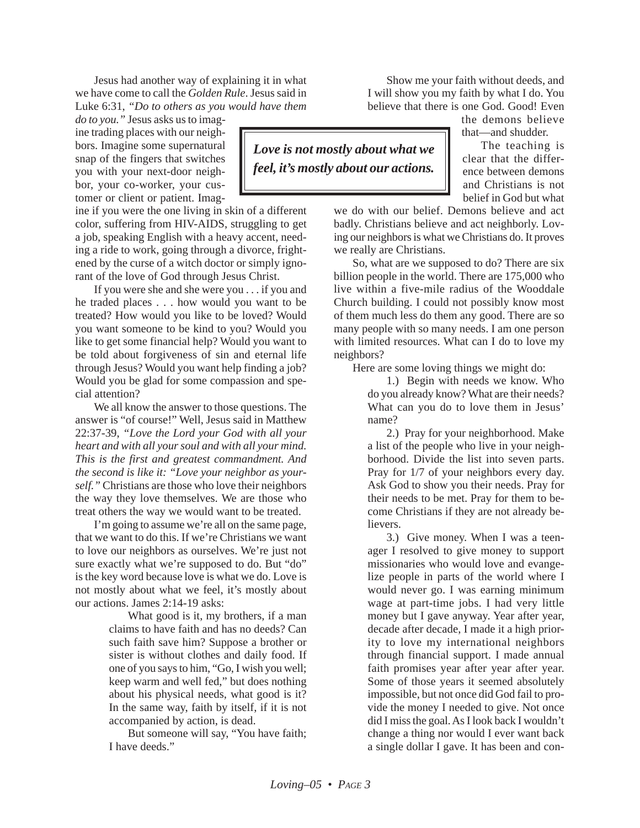Jesus had another way of explaining it in what we have come to call the *Golden Rule*. Jesus said in Luke 6:31, *"Do to others as you would have them*

*do to you."* Jesus asks us to imagine trading places with our neighbors. Imagine some supernatural snap of the fingers that switches you with your next-door neighbor, your co-worker, your customer or client or patient. Imag-

ine if you were the one living in skin of a different color, suffering from HIV-AIDS, struggling to get a job, speaking English with a heavy accent, needing a ride to work, going through a divorce, frightened by the curse of a witch doctor or simply ignorant of the love of God through Jesus Christ.

If you were she and she were you . . . if you and he traded places . . . how would you want to be treated? How would you like to be loved? Would you want someone to be kind to you? Would you like to get some financial help? Would you want to be told about forgiveness of sin and eternal life through Jesus? Would you want help finding a job? Would you be glad for some compassion and special attention?

We all know the answer to those questions. The answer is "of course!" Well, Jesus said in Matthew 22:37-39, *"Love the Lord your God with all your heart and with all your soul and with all your mind. This is the first and greatest commandment. And the second is like it: "Love your neighbor as yourself."* Christians are those who love their neighbors the way they love themselves. We are those who treat others the way we would want to be treated.

I'm going to assume we're all on the same page, that we want to do this. If we're Christians we want to love our neighbors as ourselves. We're just not sure exactly what we're supposed to do. But "do" is the key word because love is what we do. Love is not mostly about what we feel, it's mostly about our actions. James 2:14-19 asks:

> What good is it, my brothers, if a man claims to have faith and has no deeds? Can such faith save him? Suppose a brother or sister is without clothes and daily food. If one of you says to him, "Go, I wish you well; keep warm and well fed," but does nothing about his physical needs, what good is it? In the same way, faith by itself, if it is not accompanied by action, is dead.

> But someone will say, "You have faith; I have deeds."

Show me your faith without deeds, and I will show you my faith by what I do. You believe that there is one God. Good! Even

> the demons believe that—and shudder.

The teaching is clear that the difference between demons and Christians is not belief in God but what

we do with our belief. Demons believe and act badly. Christians believe and act neighborly. Loving our neighbors is what we Christians do. It proves we really are Christians.

*Love is not mostly about what we feel, it's mostly about our actions.*

> So, what are we supposed to do? There are six billion people in the world. There are 175,000 who live within a five-mile radius of the Wooddale Church building. I could not possibly know most of them much less do them any good. There are so many people with so many needs. I am one person with limited resources. What can I do to love my neighbors?

Here are some loving things we might do:

1.) Begin with needs we know. Who do you already know? What are their needs? What can you do to love them in Jesus' name?

2.) Pray for your neighborhood. Make a list of the people who live in your neighborhood. Divide the list into seven parts. Pray for 1/7 of your neighbors every day. Ask God to show you their needs. Pray for their needs to be met. Pray for them to become Christians if they are not already believers.

3.) Give money. When I was a teenager I resolved to give money to support missionaries who would love and evangelize people in parts of the world where I would never go. I was earning minimum wage at part-time jobs. I had very little money but I gave anyway. Year after year, decade after decade, I made it a high priority to love my international neighbors through financial support. I made annual faith promises year after year after year. Some of those years it seemed absolutely impossible, but not once did God fail to provide the money I needed to give. Not once did I miss the goal. As I look back I wouldn't change a thing nor would I ever want back a single dollar I gave. It has been and con